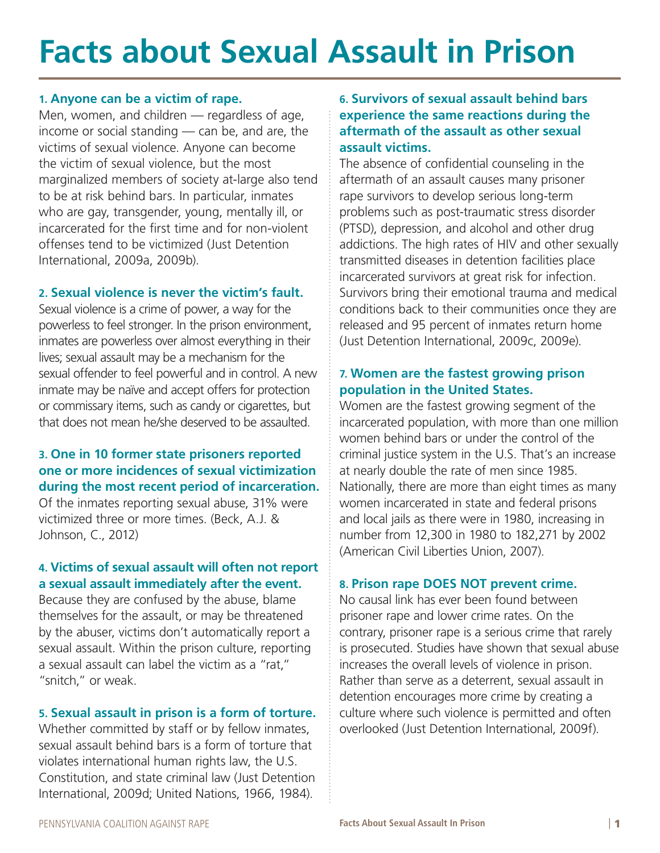# **Facts about Sexual Assault in Prison**

#### **1. Anyone can be a victim of rape.**

Men, women, and children — regardless of age, income or social standing — can be, and are, the victims of sexual violence. Anyone can become the victim of sexual violence, but the most marginalized members of society at-large also tend to be at risk behind bars. In particular, inmates who are gay, transgender, young, mentally ill, or incarcerated for the first time and for non-violent offenses tend to be victimized (Just Detention International, 2009a, 2009b).

#### **2. Sexual violence is never the victim's fault.**

Sexual violence is a crime of power, a way for the powerless to feel stronger. In the prison environment, inmates are powerless over almost everything in their lives; sexual assault may be a mechanism for the sexual offender to feel powerful and in control. A new inmate may be naïve and accept offers for protection or commissary items, such as candy or cigarettes, but that does not mean he/she deserved to be assaulted.

## **3. One in 10 former state prisoners reported one or more incidences of sexual victimization during the most recent period of incarceration.**

Of the inmates reporting sexual abuse, 31% were victimized three or more times. (Beck, A.J. & Johnson, C., 2012)

## **4. Victims of sexual assault will often not report a sexual assault immediately after the event.**

Because they are confused by the abuse, blame themselves for the assault, or may be threatened by the abuser, victims don't automatically report a sexual assault. Within the prison culture, reporting a sexual assault can label the victim as a "rat," "snitch," or weak.

#### **5. Sexual assault in prison is a form of torture.**

Whether committed by staff or by fellow inmates, sexual assault behind bars is a form of torture that violates international human rights law, the U.S. Constitution, and state criminal law (Just Detention International, 2009d; United Nations, 1966, 1984).

#### **6. Survivors of sexual assault behind bars experience the same reactions during the aftermath of the assault as other sexual assault victims.**

The absence of confidential counseling in the aftermath of an assault causes many prisoner rape survivors to develop serious long-term problems such as post-traumatic stress disorder (PTSD), depression, and alcohol and other drug addictions. The high rates of HIV and other sexually transmitted diseases in detention facilities place incarcerated survivors at great risk for infection. Survivors bring their emotional trauma and medical conditions back to their communities once they are released and 95 percent of inmates return home (Just Detention International, 2009c, 2009e).

#### **7. Women are the fastest growing prison population in the United States.**

Women are the fastest growing segment of the incarcerated population, with more than one million women behind bars or under the control of the criminal justice system in the U.S. That's an increase at nearly double the rate of men since 1985. Nationally, there are more than eight times as many women incarcerated in state and federal prisons and local jails as there were in 1980, increasing in number from 12,300 in 1980 to 182,271 by 2002 (American Civil Liberties Union, 2007).

#### **8. Prison rape DOES NOT prevent crime.**

No causal link has ever been found between prisoner rape and lower crime rates. On the contrary, prisoner rape is a serious crime that rarely is prosecuted. Studies have shown that sexual abuse increases the overall levels of violence in prison. Rather than serve as a deterrent, sexual assault in detention encourages more crime by creating a culture where such violence is permitted and often overlooked (Just Detention International, 2009f).